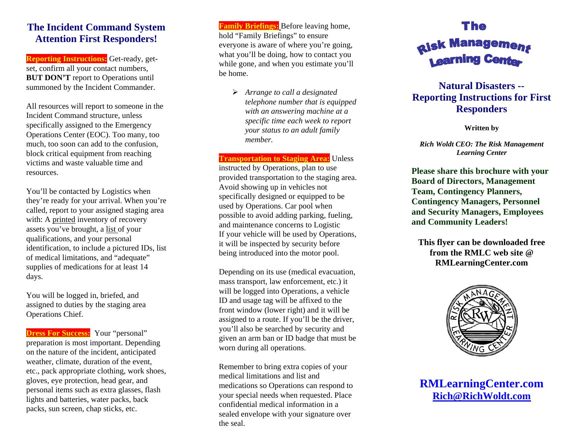## **The Incident Command System Attention First Responders!**

**Reporting Instructions:** Get-ready, getset, confirm all your contact numbers, **BUT DON'T** report to Operations until summoned by the Incident Commander.

All resources will report to someone in the Incident Command structure, unless specifically assigned to the Emergency Operations Center (EOC). Too many, too much, too soon can add to the confusion, block critical equipment from reaching victims and waste valuable time and resources.

You'll be contacted by Logistics when they're ready for your arrival. When you're called, report to your assigned staging area with: A printed inventory of recovery assets you've brought, a list of your qualifications, and your personal identification, to include a pictured IDs, list of medical limitations, and "adequate" supplies of medications for at least 14 days.

You will be logged in, briefed, and assigned to duties by the staging area Operations Chief.

**Dress For Success:** Your "personal" preparation is most important. Depending on the nature of the incident, anticipated weather, climate, duration of the event, etc., pack appropriate clothing, work shoes, gloves, eye protection, head gear, and personal items such as extra glasses, flash lights and batteries, water packs, back packs, sun screen, chap sticks, etc.

**Family Briefings:** Before leaving home, hold "Family Briefings" to ensure everyone is aware of where you're going, what you'll be doing, how to contact you while gone, and when you estimate you'll be home.

> ¾ *Arrange to call a designated telephone number that is equipped with an answering machine at a specific time each week to report your status to an adult family member.*

**Transportation to Staging Area:** Unless instructed by Operations, plan to use provided transportation to the staging area. Avoid showing up in vehicles not specifically designed or equipped to be used by Operations. Car pool when possible to avoid adding parking, fueling, and maintenance concerns to Logistic If your vehicle will be used by Operations, it will be inspected by security before being introduced into the motor pool.

Depending on its use (medical evacuation, mass transport, law enforcement, etc.) it will be logged into Operations, a vehicle ID and usage tag will be affixed to the front window (lower right) and it will be assigned to a route. If you'll be the driver, you'll also be searched by security and given an arm ban or ID badge that must be worn during all operations.

Remember to bring extra copies of your medical limitations and list and medications so Operations can respond to your special needs when requested. Place confidential medical information in a sealed envelope with your signature over the seal.

## The **Risk Management 1 earning Cente**

## **Natural Disasters -- Reporting Instructions for First Responders**

**Written by** 

*Rich Woldt CEO: The Risk Management Learning Center* 

**Please share this brochure with your Board of Directors, Management Team, Contingency Planners, Contingency Managers, Personnel and Security Managers, Employees and Community Leaders!** 

**This flyer can be downloaded free from the RMLC web site @ RMLearningCenter.com** 



**RMLearningCenter.com Rich@RichWoldt.com**